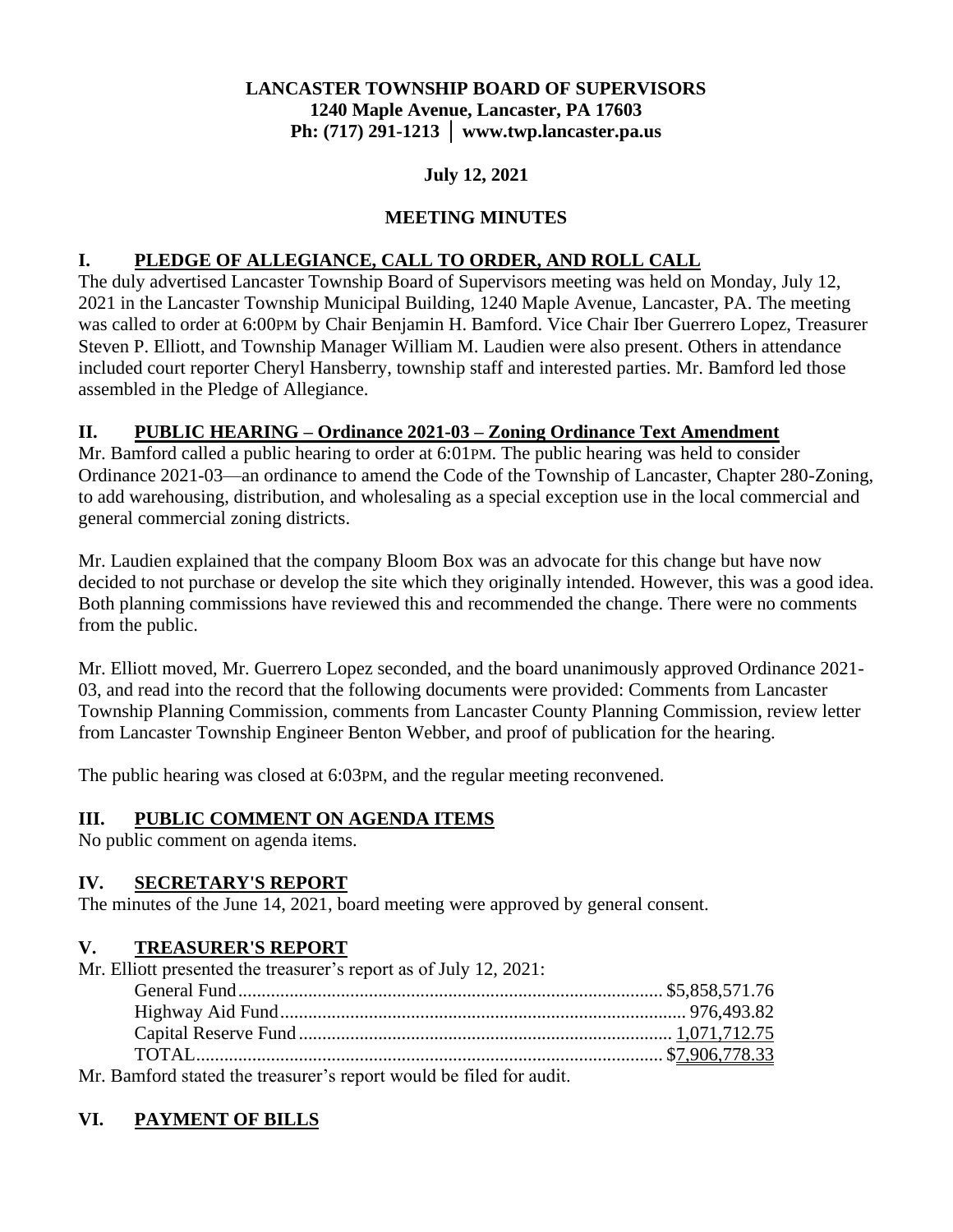## **LANCASTER TOWNSHIP BOARD OF SUPERVISORS 1240 Maple Avenue, Lancaster, PA 17603 Ph: (717) 291-1213 │ www.twp.lancaster.pa.us**

### **July 12, 2021**

### **MEETING MINUTES**

### **I. PLEDGE OF ALLEGIANCE, CALL TO ORDER, AND ROLL CALL**

The duly advertised Lancaster Township Board of Supervisors meeting was held on Monday, July 12, 2021 in the Lancaster Township Municipal Building, 1240 Maple Avenue, Lancaster, PA. The meeting was called to order at 6:00PM by Chair Benjamin H. Bamford. Vice Chair Iber Guerrero Lopez, Treasurer Steven P. Elliott, and Township Manager William M. Laudien were also present. Others in attendance included court reporter Cheryl Hansberry, township staff and interested parties. Mr. Bamford led those assembled in the Pledge of Allegiance.

#### **II. PUBLIC HEARING – Ordinance 2021-03 – Zoning Ordinance Text Amendment**

Mr. Bamford called a public hearing to order at 6:01PM. The public hearing was held to consider Ordinance 2021-03—an ordinance to amend the Code of the Township of Lancaster, Chapter 280-Zoning, to add warehousing, distribution, and wholesaling as a special exception use in the local commercial and general commercial zoning districts.

Mr. Laudien explained that the company Bloom Box was an advocate for this change but have now decided to not purchase or develop the site which they originally intended. However, this was a good idea. Both planning commissions have reviewed this and recommended the change. There were no comments from the public.

Mr. Elliott moved, Mr. Guerrero Lopez seconded, and the board unanimously approved Ordinance 2021- 03, and read into the record that the following documents were provided: Comments from Lancaster Township Planning Commission, comments from Lancaster County Planning Commission, review letter from Lancaster Township Engineer Benton Webber, and proof of publication for the hearing.

The public hearing was closed at 6:03PM, and the regular meeting reconvened.

#### **III. PUBLIC COMMENT ON AGENDA ITEMS**

No public comment on agenda items.

#### **IV. SECRETARY'S REPORT**

The minutes of the June 14, 2021, board meeting were approved by general consent.

#### **V. TREASURER'S REPORT**

Mr. Elliott presented the treasurer's report as of July 12, 2021:

| <b>EDCIATA</b> (1990) |  |
|-----------------------|--|

Mr. Bamford stated the treasurer's report would be filed for audit.

## **VI. PAYMENT OF BILLS**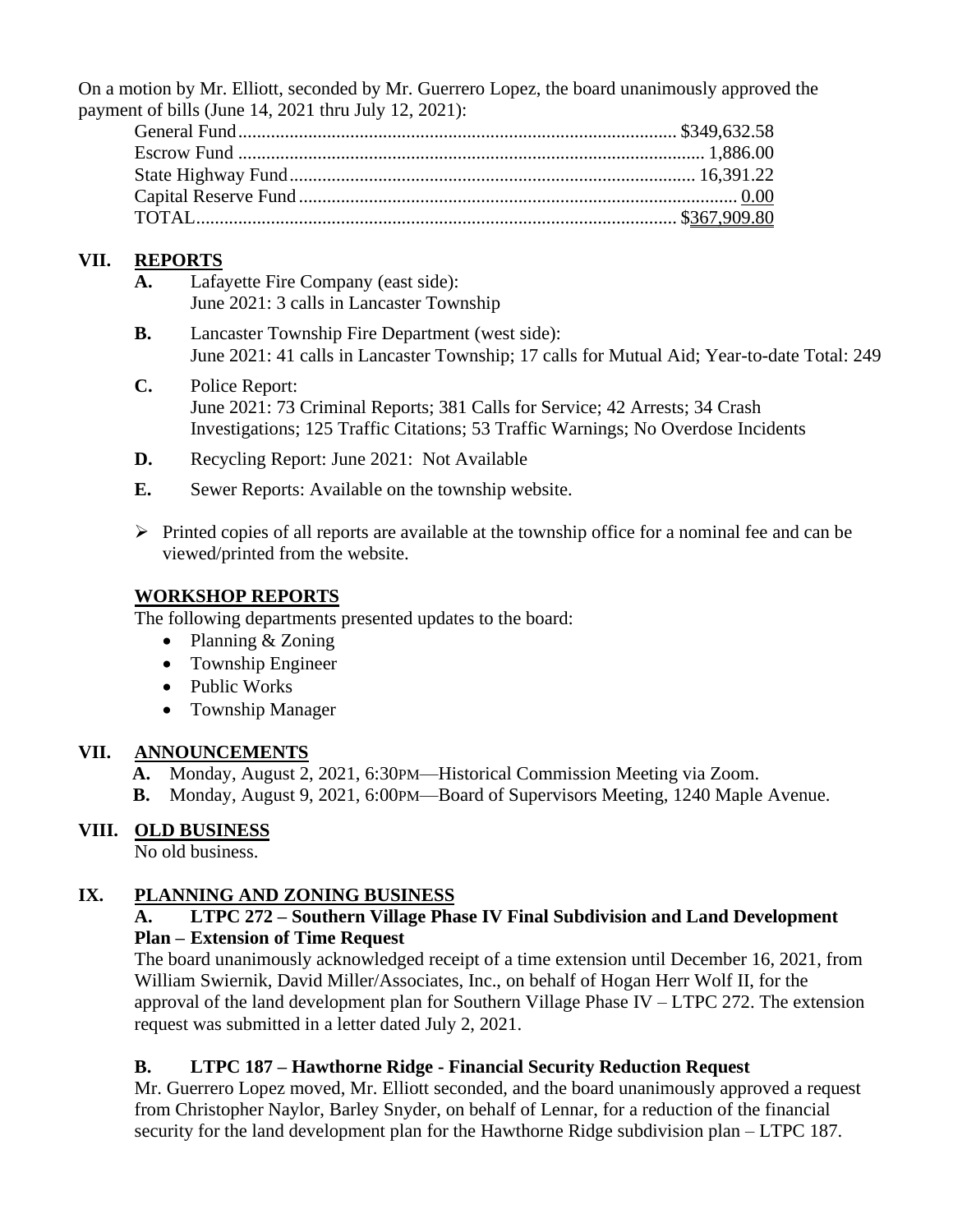On a motion by Mr. Elliott, seconded by Mr. Guerrero Lopez, the board unanimously approved the payment of bills (June 14, 2021 thru July 12, 2021):

# **VII. REPORTS**

- **A.** Lafayette Fire Company (east side): June 2021: 3 calls in Lancaster Township
- **B.** Lancaster Township Fire Department (west side): June 2021: 41 calls in Lancaster Township; 17 calls for Mutual Aid; Year-to-date Total: 249
- **C.** Police Report: June 2021: 73 Criminal Reports; 381 Calls for Service; 42 Arrests; 34 Crash Investigations; 125 Traffic Citations; 53 Traffic Warnings; No Overdose Incidents
- **D.** Recycling Report: June 2021: Not Available
- **E.** Sewer Reports: Available on the township website.
- $\triangleright$  Printed copies of all reports are available at the township office for a nominal fee and can be viewed/printed from the website.

### **WORKSHOP REPORTS**

The following departments presented updates to the board:

- Planning & Zoning
- Township Engineer
- Public Works
- Township Manager

## **VII. ANNOUNCEMENTS**

- **A.** Monday, August 2, 2021, 6:30PM—Historical Commission Meeting via Zoom.
- **B.** Monday, August 9, 2021, 6:00PM—Board of Supervisors Meeting, 1240 Maple Avenue.

## **VIII. OLD BUSINESS**

No old business.

## **IX. PLANNING AND ZONING BUSINESS**

#### **A. LTPC 272 – Southern Village Phase IV Final Subdivision and Land Development Plan – Extension of Time Request**

The board unanimously acknowledged receipt of a time extension until December 16, 2021, from William Swiernik, David Miller/Associates, Inc., on behalf of Hogan Herr Wolf II, for the approval of the land development plan for Southern Village Phase IV – LTPC 272. The extension request was submitted in a letter dated July 2, 2021.

## **B. LTPC 187 – Hawthorne Ridge - Financial Security Reduction Request**

Mr. Guerrero Lopez moved, Mr. Elliott seconded, and the board unanimously approved a request from Christopher Naylor, Barley Snyder, on behalf of Lennar, for a reduction of the financial security for the land development plan for the Hawthorne Ridge subdivision plan – LTPC 187.